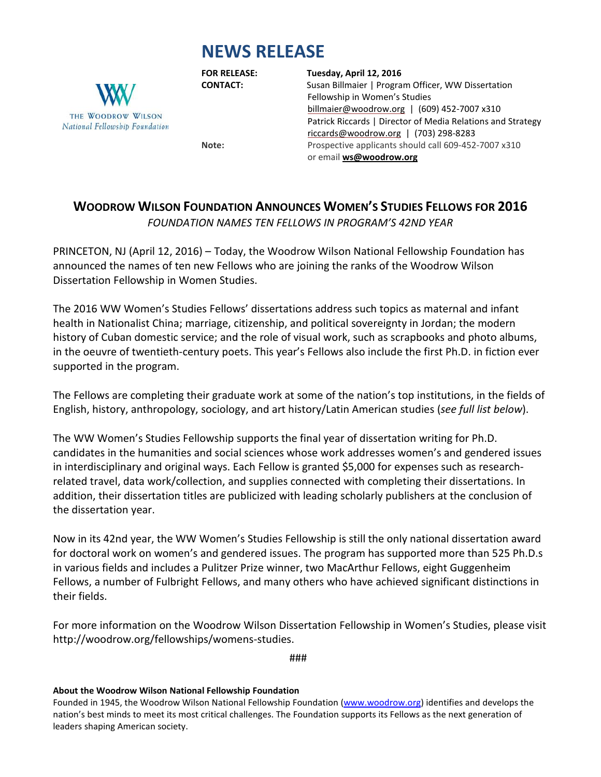## **NEWS RELEASE**



## **FOR RELEASE: Tuesday, April 12, 2016**

**CONTACT:** Susan Billmaier | Program Officer, WW Dissertation Fellowship in Women's Studies [billmaier@woodrow.org](mailto:billmaier@woodrow.org)|(609) 452-7007 x310 Patrick Riccards | Director of Media Relations and Strategy [riccards@woodrow.org](mailto:riccards@woodrow.org)|(703) 298-8283 Note: Prospective applicants should call 609-452-7007 x310 or email **[ws@woodrow.org](mailto:ws@woodrow.org)**

**WOODROW WILSON FOUNDATION ANNOUNCES WOMEN'S STUDIES FELLOWS FOR 2016**

*FOUNDATION NAMES TEN FELLOWS IN PROGRAM'S 42ND YEAR*

PRINCETON, NJ (April 12, 2016) – Today, the Woodrow Wilson National Fellowship Foundation has announced the names of ten new Fellows who are joining the ranks of the Woodrow Wilson Dissertation Fellowship in Women Studies.

The 2016 WW Women's Studies Fellows' dissertations address such topics as maternal and infant health in Nationalist China; marriage, citizenship, and political sovereignty in Jordan; the modern history of Cuban domestic service; and the role of visual work, such as scrapbooks and photo albums, in the oeuvre of twentieth-century poets. This year's Fellows also include the first Ph.D. in fiction ever supported in the program.

The Fellows are completing their graduate work at some of the nation's top institutions, in the fields of English, history, anthropology, sociology, and art history/Latin American studies (*see full list below*).

The WW Women's Studies Fellowship supports the final year of dissertation writing for Ph.D. candidates in the humanities and social sciences whose work addresses women's and gendered issues in interdisciplinary and original ways. Each Fellow is granted \$5,000 for expenses such as researchrelated travel, data work/collection, and supplies connected with completing their dissertations. In addition, their dissertation titles are publicized with leading scholarly publishers at the conclusion of the dissertation year.

Now in its 42nd year, the WW Women's Studies Fellowship is still the only national dissertation award for doctoral work on women's and gendered issues. The program has supported more than 525 Ph.D.s in various fields and includes a Pulitzer Prize winner, two MacArthur Fellows, eight Guggenheim Fellows, a number of Fulbright Fellows, and many others who have achieved significant distinctions in their fields.

For more information on the Woodrow Wilson Dissertation Fellowship in Women's Studies, please visit http://woodrow.org/fellowships/womens-studies.

###

## **About the Woodrow Wilson National Fellowship Foundation**

Founded in 1945, the Woodrow Wilson National Fellowship Foundation [\(www.woodrow.org\)](http://www.woodrow.org/) identifies and develops the nation's best minds to meet its most critical challenges. The Foundation supports its Fellows as the next generation of leaders shaping American society.